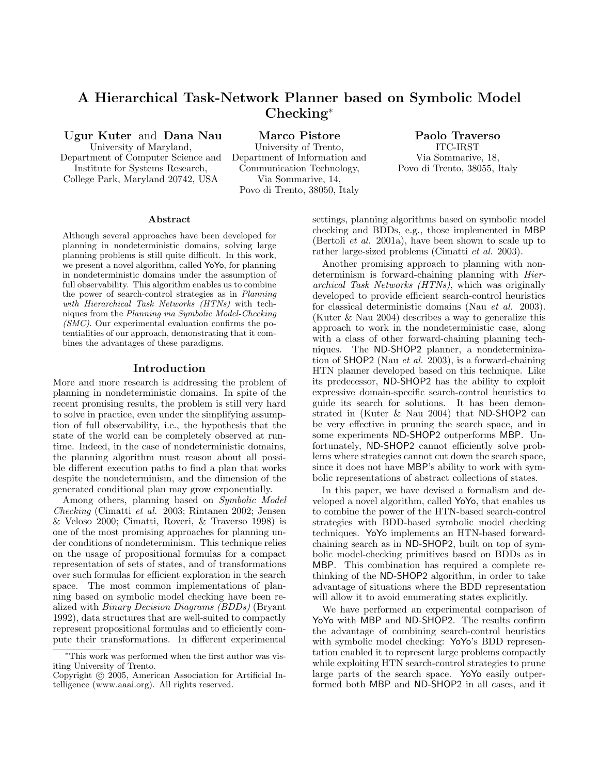# A Hierarchical Task-Network Planner based on Symbolic Model Checking<sup>∗</sup>

Ugur Kuter and Dana Nau

University of Maryland, Department of Computer Science and Institute for Systems Research, College Park, Maryland 20742, USA

Marco Pistore

University of Trento, Department of Information and Communication Technology, Via Sommarive, 14, Povo di Trento, 38050, Italy

Paolo Traverso ITC-IRST Via Sommarive, 18, Povo di Trento, 38055, Italy

#### Abstract

Although several approaches have been developed for planning in nondeterministic domains, solving large planning problems is still quite difficult. In this work, we present a novel algorithm, called YoYo, for planning in nondeterministic domains under the assumption of full observability. This algorithm enables us to combine the power of search-control strategies as in Planning with Hierarchical Task Networks (HTNs) with techniques from the Planning via Symbolic Model-Checking  $(SMC)$ . Our experimental evaluation confirms the potentialities of our approach, demonstrating that it combines the advantages of these paradigms.

### Introduction

More and more research is addressing the problem of planning in nondeterministic domains. In spite of the recent promising results, the problem is still very hard to solve in practice, even under the simplifying assumption of full observability, i.e., the hypothesis that the state of the world can be completely observed at runtime. Indeed, in the case of nondeterministic domains, the planning algorithm must reason about all possible different execution paths to find a plan that works despite the nondeterminism, and the dimension of the generated conditional plan may grow exponentially.

Among others, planning based on Symbolic Model Checking (Cimatti et al. 2003; Rintanen 2002; Jensen & Veloso 2000; Cimatti, Roveri, & Traverso 1998) is one of the most promising approaches for planning under conditions of nondeterminism. This technique relies on the usage of propositional formulas for a compact representation of sets of states, and of transformations over such formulas for efficient exploration in the search space. The most common implementations of planning based on symbolic model checking have been realized with Binary Decision Diagrams (BDDs) (Bryant 1992), data structures that are well-suited to compactly represent propositional formulas and to efficiently compute their transformations. In different experimental

settings, planning algorithms based on symbolic model checking and BDDs, e.g., those implemented in MBP (Bertoli et al. 2001a), have been shown to scale up to rather large-sized problems (Cimatti et al. 2003).

Another promising approach to planning with nondeterminism is forward-chaining planning with *Hier*archical Task Networks (HTNs), which was originally developed to provide efficient search-control heuristics for classical deterministic domains (Nau et al. 2003). (Kuter & Nau 2004) describes a way to generalize this approach to work in the nondeterministic case, along with a class of other forward-chaining planning techniques. The ND-SHOP2 planner, a nondeterminization of SHOP2 (Nau et al. 2003), is a forward-chaining HTN planner developed based on this technique. Like its predecessor, ND-SHOP2 has the ability to exploit expressive domain-specific search-control heuristics to guide its search for solutions. It has been demonstrated in (Kuter & Nau 2004) that ND-SHOP2 can be very effective in pruning the search space, and in some experiments ND-SHOP2 outperforms MBP. Unfortunately, ND-SHOP2 cannot efficiently solve problems where strategies cannot cut down the search space, since it does not have MBP's ability to work with symbolic representations of abstract collections of states.

In this paper, we have devised a formalism and developed a novel algorithm, called YoYo, that enables us to combine the power of the HTN-based search-control strategies with BDD-based symbolic model checking techniques. YoYo implements an HTN-based forwardchaining search as in ND-SHOP2, built on top of symbolic model-checking primitives based on BDDs as in MBP. This combination has required a complete rethinking of the ND-SHOP2 algorithm, in order to take advantage of situations where the BDD representation will allow it to avoid enumerating states explicitly.

We have performed an experimental comparison of YoYo with MBP and ND-SHOP2. The results confirm the advantage of combining search-control heuristics with symbolic model checking: YoYo's BDD representation enabled it to represent large problems compactly while exploiting HTN search-control strategies to prune large parts of the search space. YoYo easily outperformed both MBP and ND-SHOP2 in all cases, and it

<sup>∗</sup>This work was performed when the first author was visiting University of Trento.

Copyright © 2005, American Association for Artificial Intelligence (www.aaai.org). All rights reserved.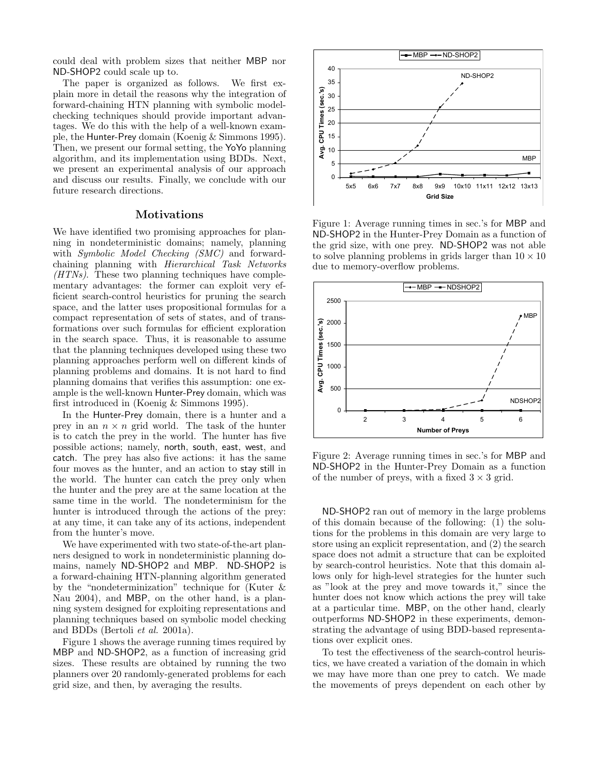could deal with problem sizes that neither MBP nor ND-SHOP2 could scale up to.

The paper is organized as follows. We first explain more in detail the reasons why the integration of forward-chaining HTN planning with symbolic modelchecking techniques should provide important advantages. We do this with the help of a well-known example, the Hunter-Prey domain (Koenig & Simmons 1995). Then, we present our formal setting, the YoYo planning algorithm, and its implementation using BDDs. Next, we present an experimental analysis of our approach and discuss our results. Finally, we conclude with our future research directions.

# **Motivations**

We have identified two promising approaches for planning in nondeterministic domains; namely, planning with *Symbolic Model Checking (SMC)* and forwardchaining planning with Hierarchical Task Networks  $(HTNs)$ . These two planning techniques have complementary advantages: the former can exploit very efficient search-control heuristics for pruning the search space, and the latter uses propositional formulas for a compact representation of sets of states, and of transformations over such formulas for efficient exploration in the search space. Thus, it is reasonable to assume that the planning techniques developed using these two planning approaches perform well on different kinds of planning problems and domains. It is not hard to find planning domains that verifies this assumption: one example is the well-known Hunter-Prey domain, which was first introduced in (Koenig & Simmons 1995).

In the Hunter-Prey domain, there is a hunter and a prey in an  $n \times n$  grid world. The task of the hunter is to catch the prey in the world. The hunter has five possible actions; namely, north, south, east, west, and catch. The prey has also five actions: it has the same four moves as the hunter, and an action to stay still in the world. The hunter can catch the prey only when the hunter and the prey are at the same location at the same time in the world. The nondeterminism for the hunter is introduced through the actions of the prey: at any time, it can take any of its actions, independent from the hunter's move.

We have experimented with two state-of-the-art planners designed to work in nondeterministic planning domains, namely ND-SHOP2 and MBP. ND-SHOP2 is a forward-chaining HTN-planning algorithm generated by the "nondeterminization" technique for (Kuter & Nau 2004), and MBP, on the other hand, is a planning system designed for exploiting representations and planning techniques based on symbolic model checking and BDDs (Bertoli et al. 2001a).

Figure 1 shows the average running times required by MBP and ND-SHOP2, as a function of increasing grid sizes. These results are obtained by running the two planners over 20 randomly-generated problems for each grid size, and then, by averaging the results.



Figure 1: Average running times in sec.'s for MBP and ND-SHOP2 in the Hunter-Prey Domain as a function of the grid size, with one prey. ND-SHOP2 was not able to solve planning problems in grids larger than  $10 \times 10$ due to memory-overflow problems.



Figure 2: Average running times in sec.'s for MBP and ND-SHOP2 in the Hunter-Prey Domain as a function of the number of preys, with a fixed  $3 \times 3$  grid.

ND-SHOP2 ran out of memory in the large problems of this domain because of the following: (1) the solutions for the problems in this domain are very large to store using an explicit representation, and (2) the search space does not admit a structure that can be exploited by search-control heuristics. Note that this domain allows only for high-level strategies for the hunter such as "look at the prey and move towards it," since the hunter does not know which actions the prey will take at a particular time. MBP, on the other hand, clearly outperforms ND-SHOP2 in these experiments, demonstrating the advantage of using BDD-based representations over explicit ones.

To test the effectiveness of the search-control heuristics, we have created a variation of the domain in which we may have more than one prey to catch. We made the movements of preys dependent on each other by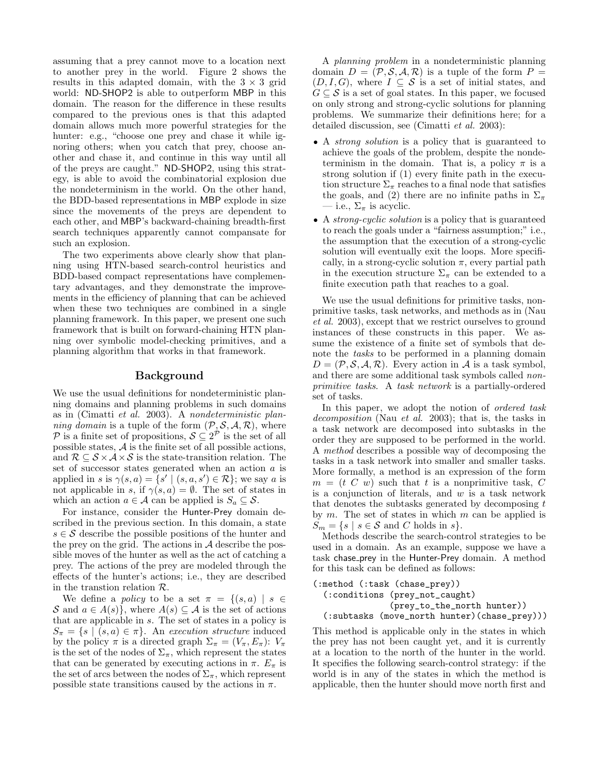assuming that a prey cannot move to a location next to another prey in the world. Figure 2 shows the results in this adapted domain, with the  $3 \times 3$  grid world: ND-SHOP2 is able to outperform MBP in this domain. The reason for the difference in these results compared to the previous ones is that this adapted domain allows much more powerful strategies for the hunter: e.g., "choose one prey and chase it while ignoring others; when you catch that prey, choose another and chase it, and continue in this way until all of the preys are caught." ND-SHOP2, using this strategy, is able to avoid the combinatorial explosion due the nondeterminism in the world. On the other hand, the BDD-based representations in MBP explode in size since the movements of the preys are dependent to each other, and MBP's backward-chaining breadth-first search techniques apparently cannot compansate for such an explosion.

The two experiments above clearly show that planning using HTN-based search-control heuristics and BDD-based compact representations have complementary advantages, and they demonstrate the improvements in the efficiency of planning that can be achieved when these two techniques are combined in a single planning framework. In this paper, we present one such framework that is built on forward-chaining HTN planning over symbolic model-checking primitives, and a planning algorithm that works in that framework.

# Background

We use the usual definitions for nondeterministic planning domains and planning problems in such domains as in (Cimatti et al. 2003). A nondeterministic planning domain is a tuple of the form  $(\mathcal{P}, \mathcal{S}, \mathcal{A}, \mathcal{R})$ , where P is a finite set of propositions,  $S \subseteq 2^P$  is the set of all possible states, A is the finite set of all possible actions, and  $\mathcal{R} \subseteq \mathcal{S} \times \mathcal{A} \times \mathcal{S}$  is the state-transition relation. The set of successor states generated when an action a is applied in s is  $\gamma(s, a) = \{s' \mid (s, a, s') \in \mathcal{R}\}\;$ ; we say a is not applicable in s, if  $\gamma(s, a) = \emptyset$ . The set of states in which an action  $a \in \mathcal{A}$  can be applied is  $S_a \subseteq \mathcal{S}$ .

For instance, consider the Hunter-Prey domain described in the previous section. In this domain, a state  $s \in \mathcal{S}$  describe the possible positions of the hunter and the prey on the grid. The actions in  $A$  describe the possible moves of the hunter as well as the act of catching a prey. The actions of the prey are modeled through the effects of the hunter's actions; i.e., they are described in the transtion relation R.

We define a *policy* to be a set  $\pi = \{(s, a) \mid s \in$ S and  $a \in A(s)$ , where  $A(s) \subseteq A$  is the set of actions that are applicable in s. The set of states in a policy is  $S_{\pi} = \{s \mid (s, a) \in \pi\}.$  An execution structure induced by the policy  $\pi$  is a directed graph  $\Sigma_{\pi} = (V_{\pi}, E_{\pi}) : V_{\pi}$ is the set of the nodes of  $\Sigma_{\pi}$ , which represent the states that can be generated by executing actions in  $\pi$ .  $E_{\pi}$  is the set of arcs between the nodes of  $\Sigma_{\pi}$ , which represent possible state transitions caused by the actions in  $\pi$ .

A planning problem in a nondeterministic planning domain  $D = (\mathcal{P}, \mathcal{S}, \mathcal{A}, \mathcal{R})$  is a tuple of the form  $P =$  $(D, I, G)$ , where  $I \subseteq S$  is a set of initial states, and  $G \subseteq \mathcal{S}$  is a set of goal states. In this paper, we focused on only strong and strong-cyclic solutions for planning problems. We summarize their definitions here; for a detailed discussion, see (Cimatti et al. 2003):

- A strong solution is a policy that is guaranteed to achieve the goals of the problem, despite the nondeterminism in the domain. That is, a policy  $\pi$  is a strong solution if (1) every finite path in the execution structure  $\Sigma_{\pi}$  reaches to a final node that satisfies the goals, and (2) there are no infinite paths in  $\Sigma_{\pi}$ — i.e.,  $\Sigma_{\pi}$  is acyclic.
- A *strong-cyclic solution* is a policy that is guaranteed to reach the goals under a "fairness assumption;" i.e., the assumption that the execution of a strong-cyclic solution will eventually exit the loops. More specifically, in a strong-cyclic solution  $\pi$ , every partial path in the execution structure  $\Sigma_{\pi}$  can be extended to a finite execution path that reaches to a goal.

We use the usual definitions for primitive tasks, nonprimitive tasks, task networks, and methods as in (Nau et al. 2003), except that we restrict ourselves to ground instances of these constructs in this paper. We assume the existence of a finite set of symbols that denote the tasks to be performed in a planning domain  $D = (\mathcal{P}, \mathcal{S}, \mathcal{A}, \mathcal{R})$ . Every action in  $\mathcal{A}$  is a task symbol, and there are some additional task symbols called nonprimitive tasks. A task network is a partially-ordered set of tasks.

In this paper, we adopt the notion of *ordered task* decomposition (Nau et al. 2003); that is, the tasks in a task network are decomposed into subtasks in the order they are supposed to be performed in the world. A method describes a possible way of decomposing the tasks in a task network into smaller and smaller tasks. More formally, a method is an expression of the form  $m = (t C w)$  such that t is a nonprimitive task, C is a conjunction of literals, and  $w$  is a task network that denotes the subtasks generated by decomposing  $t$ by  $m$ . The set of states in which  $m$  can be applied is  $S_m = \{s \mid s \in \mathcal{S} \text{ and } C \text{ holds in } s\}.$ 

Methods describe the search-control strategies to be used in a domain. As an example, suppose we have a task chase prey in the Hunter-Prey domain. A method for this task can be defined as follows:

```
(:method (:task (chase_prey))
(:conditions (prey_not_caught)
              (prey_to_the_north hunter))
(:subtasks (move_north hunter)(chase_prey)))
```
This method is applicable only in the states in which the prey has not been caught yet, and it is currently at a location to the north of the hunter in the world. It specifies the following search-control strategy: if the world is in any of the states in which the method is applicable, then the hunter should move north first and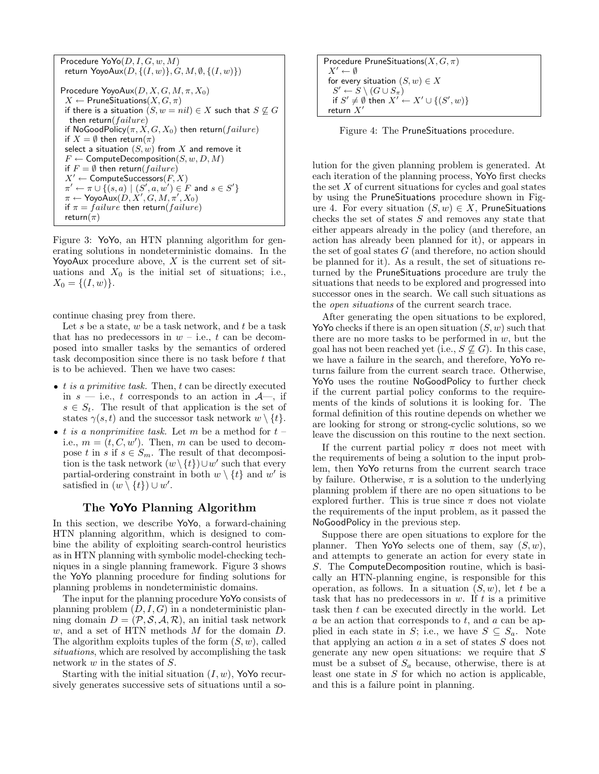```
Procedure \mathsf{Yo}(D,I,G,w,M)return YoyoAux(D, \{(I, w)\}, G, M, \emptyset, \{(I, w)\})Procedure YoyoAux(D, X, G, M, \pi, X_0)X \leftarrow PruneSituations(X, G, \pi)if there is a situation (S, w = nil) \in X such that S \nsubseteq Gthen return(failure)
if NoGoodPolicy(\pi, X, G, X_0) then return(failure)
if X = \emptyset then return(\pi)
select a situation (S, w) from X and remove it
F \leftarrow ComputeDecomposition(S, w, D, M)
if F = \emptyset then return(failure)
X' \leftarrow ComputeSuccessors(F, X)\pi' \leftarrow \pi \cup \{(s, a) \mid (S', a, w') \in F \text{ and } s \in S'\}\pi \leftarrow Υογο\overline{\mathsf{Aux}}(D,X',G,M,\pi',X_0)if \pi = failure then return(failure)
return(\pi)
```
Figure 3: YoYo, an HTN planning algorithm for generating solutions in nondeterministic domains. In the YoyoAux procedure above,  $X$  is the current set of situations and  $X_0$  is the initial set of situations; i.e.,  $X_0 = \{(I, w)\}.$ 

continue chasing prey from there.

Let s be a state,  $w$  be a task network, and  $t$  be a task that has no predecessors in  $w$  – i.e., t can be decomposed into smaller tasks by the semantics of ordered task decomposition since there is no task before t that is to be achieved. Then we have two cases:

- $\bullet$  *t is a primitive task.* Then, *t* can be directly executed in  $s$  — i.e., t corresponds to an action in  $\mathcal{A}$ —, if  $s \in S_t$ . The result of that application is the set of states  $\gamma(s, t)$  and the successor task network  $w \setminus \{t\}.$
- t is a nonprimitive task. Let m be a method for  $t$ i.e.,  $m = (t, C, w')$ . Then, m can be used to decompose t in s if  $s \in S_m$ . The result of that decomposition is the task network  $(w \setminus \{t\}) \cup w'$  such that every partial-ordering constraint in both  $w \setminus \{t\}$  and  $w'$  is satisfied in  $(w \setminus \{t\}) \cup w'.$

# The YoYo Planning Algorithm

In this section, we describe YoYo, a forward-chaining HTN planning algorithm, which is designed to combine the ability of exploiting search-control heuristics as in HTN planning with symbolic model-checking techniques in a single planning framework. Figure 3 shows the YoYo planning procedure for finding solutions for planning problems in nondeterministic domains.

The input for the planning procedure YoYo consists of planning problem  $(D, I, G)$  in a nondeterministic planning domain  $D = (\mathcal{P}, \mathcal{S}, \mathcal{A}, \mathcal{R})$ , an initial task network w, and a set of HTN methods M for the domain D. The algorithm exploits tuples of the form  $(S, w)$ , called situations, which are resolved by accomplishing the task network w in the states of S.

Starting with the initial situation  $(I, w)$ , YoYo recursively generates successive sets of situations until a so-

| Procedure PruneSituations( $X, G, \pi$ )                         |
|------------------------------------------------------------------|
| $X' \leftarrow \emptyset$                                        |
| for every situation $(S, w) \in X$                               |
| $S' \leftarrow S \setminus (G \cup S_{\pi})$                     |
| if $S' \neq \emptyset$ then $X' \leftarrow X' \cup \{(S', w)\}\$ |
| return $X'$                                                      |

Figure 4: The PruneSituations procedure.

lution for the given planning problem is generated. At each iteration of the planning process, YoYo first checks the set  $X$  of current situations for cycles and goal states by using the PruneSituations procedure shown in Figure 4. For every situation  $(S, w) \in X$ , PruneSituations checks the set of states S and removes any state that either appears already in the policy (and therefore, an action has already been planned for it), or appears in the set of goal states  $G$  (and therefore, no action should be planned for it). As a result, the set of situations returned by the PruneSituations procedure are truly the situations that needs to be explored and progressed into successor ones in the search. We call such situations as the open situations of the current search trace.

After generating the open situations to be explored, Yo Yo checks if there is an open situation  $(S, w)$  such that there are no more tasks to be performed in  $w$ , but the goal has not been reached yet (i.e.,  $S \nsubseteq G$ ). In this case, we have a failure in the search, and therefore, YoYo returns failure from the current search trace. Otherwise, YoYo uses the routine NoGoodPolicy to further check if the current partial policy conforms to the requirements of the kinds of solutions it is looking for. The formal definition of this routine depends on whether we are looking for strong or strong-cyclic solutions, so we leave the discussion on this routine to the next section.

If the current partial policy  $\pi$  does not meet with the requirements of being a solution to the input problem, then YoYo returns from the current search trace by failure. Otherwise,  $\pi$  is a solution to the underlying planning problem if there are no open situations to be explored further. This is true since  $\pi$  does not violate the requirements of the input problem, as it passed the NoGoodPolicy in the previous step.

Suppose there are open situations to explore for the planner. Then YoYo selects one of them, say  $(S, w)$ , and attempts to generate an action for every state in S. The ComputeDecomposition routine, which is basically an HTN-planning engine, is responsible for this operation, as follows. In a situation  $(S, w)$ , let t be a task that has no predecessors in  $w$ . If  $t$  is a primitive task then  $t$  can be executed directly in the world. Let a be an action that corresponds to  $t$ , and  $a$  can be applied in each state in S; i.e., we have  $S \subseteq S_a$ . Note that applying an action  $a$  in a set of states  $S$  does not generate any new open situations: we require that  $S$ must be a subset of  $S_a$  because, otherwise, there is at least one state in  $S$  for which no action is applicable, and this is a failure point in planning.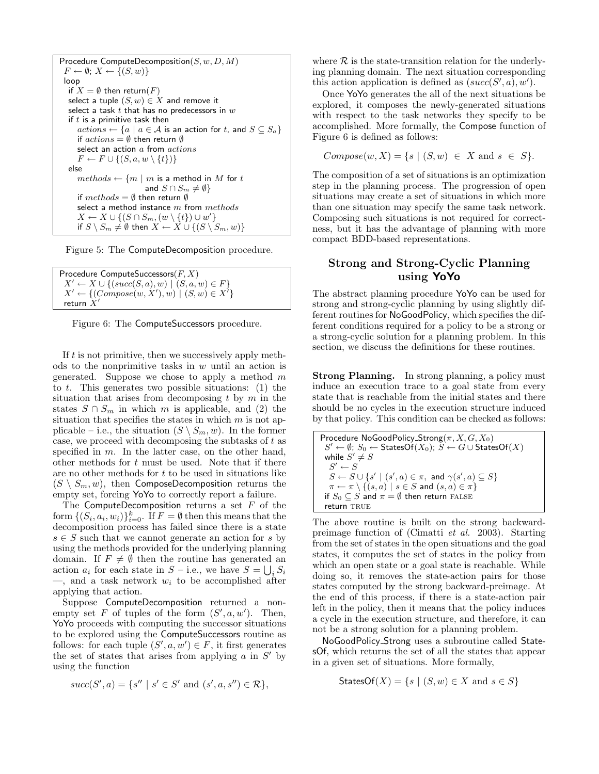Procedure ComputeDecomposition $(S, w, D, M)$  $F \leftarrow \emptyset$ ;  $X \leftarrow \{(S, w)\}$ loop if  $X = \emptyset$  then return(F) select a tuple  $(S, w) \in X$  and remove it select a task  $t$  that has no predecessors in  $w$ if  $t$  is a primitive task then  $actions \leftarrow \{a \mid a \in \mathcal{A} \text{ is an action for } t, \text{ and } S \subseteq S_a\}$ if  $actions = \emptyset$  then return  $\emptyset$ select an action  $a$  from  $actions$  $F \leftarrow F \cup \{(S, a, w \setminus \{t\})\}$ else  $methods \leftarrow \{m \mid m \text{ is a method in } M \text{ for } t\}$ and  $S \cap S_m \neq \emptyset$ if  $methods = \emptyset$  then return  $\emptyset$ select a method instance  $m$  from  $methods$  $X \leftarrow X \cup \{(S \cap S_m, (w \setminus \{t\}) \cup w'\}$ if  $S \setminus S_m \neq \emptyset$  then  $X \leftarrow X \cup \{(S \setminus S_m, w)\}$ 

Figure 5: The ComputeDecomposition procedure.

```
Procedure ComputeSuccessors(F, X)X' \leftarrow X \cup \{(succ(S, a), w) \mid (S, a, w) \in F\}X' \leftarrow \{(Compare(w, X'), w) \mid (S, w) \in X' \}return X'
```
Figure 6: The ComputeSuccessors procedure.

If  $t$  is not primitive, then we successively apply methods to the nonprimitive tasks in  $w$  until an action is generated. Suppose we chose to apply a method  $m$ to  $t$ . This generates two possible situations: (1) the situation that arises from decomposing  $t$  by  $m$  in the states  $S \cap S_m$  in which m is applicable, and (2) the situation that specifies the states in which  $m$  is not applicable – i.e., the situation  $(S \setminus S_m, w)$ . In the former case, we proceed with decomposing the subtasks of  $t$  as specified in m. In the latter case, on the other hand, other methods for  $t$  must be used. Note that if there are no other methods for  $t$  to be used in situations like  $(S \setminus S_m, w)$ , then ComposeDecomposition returns the empty set, forcing YoYo to correctly report a failure.

The ComputeDecomposition returns a set  $F$  of the form  $\{(S_i, a_i, w_i)\}_{i=0}^k$ . If  $F = \emptyset$  then this means that the decomposition process has failed since there is a state  $s \in S$  such that we cannot generate an action for s by using the methods provided for the underlying planning domain. If  $F \neq \emptyset$  then the routine has generated an action  $a_i$  for each state in  $S$  – i.e., we have  $S = \bigcup_i S_i$ —, and a task network  $w_i$  to be accomplished after applying that action.

Suppose ComputeDecomposition returned a nonempty set F of tuples of the form  $(S', a, w')$ . Then, YoYo proceeds with computing the successor situations to be explored using the ComputeSuccessors routine as follows: for each tuple  $(S', a, w') \in F$ , it first generates the set of states that arises from applying  $a$  in  $S'$  by using the function

$$
succ(S', a) = \{s'' \mid s' \in S' \text{ and } (s', a, s'') \in \mathcal{R}\},
$$

where  $R$  is the state-transition relation for the underlying planning domain. The next situation corresponding this action application is defined as  $(succ(S', a), w')$ .

Once YoYo generates the all of the next situations be explored, it composes the newly-generated situations with respect to the task networks they specify to be accomplished. More formally, the Compose function of Figure 6 is defined as follows:

$$
Compose(w, X) = \{ s \mid (S, w) \in X \text{ and } s \in S \}.
$$

The composition of a set of situations is an optimization step in the planning process. The progression of open situations may create a set of situations in which more than one situation may specify the same task network. Composing such situations is not required for correctness, but it has the advantage of planning with more compact BDD-based representations.

# Strong and Strong-Cyclic Planning using YoYo

The abstract planning procedure YoYo can be used for strong and strong-cyclic planning by using slightly different routines for NoGoodPolicy, which specifies the different conditions required for a policy to be a strong or a strong-cyclic solution for a planning problem. In this section, we discuss the definitions for these routines.

Strong Planning. In strong planning, a policy must induce an execution trace to a goal state from every state that is reachable from the initial states and there should be no cycles in the execution structure induced by that policy. This condition can be checked as follows:

Procedure NoGoodPolicy Strong $(\pi, X, G, X_0)$  $S' \leftarrow \emptyset$ ;  $S_0 \leftarrow$  StatesOf( $X_0$ );  $S \leftarrow G \cup$  StatesOf( $X$ ) while  $S' \neq S$  $S' \leftarrow S$  $S \leftarrow S \cup \{s' \mid (s', a) \in \pi, \text{ and } \gamma(s', a) \subseteq S\}$  $\pi \leftarrow \pi \setminus \{(s, a) \mid s \in S \text{ and } (s, a) \in \pi\}$ if  $S_0 \subseteq S$  and  $\pi = \emptyset$  then return FALSE return TRUE

The above routine is built on the strong backwardpreimage function of (Cimatti et al. 2003). Starting from the set of states in the open situations and the goal states, it computes the set of states in the policy from which an open state or a goal state is reachable. While doing so, it removes the state-action pairs for those states computed by the strong backward-preimage. At the end of this process, if there is a state-action pair left in the policy, then it means that the policy induces a cycle in the execution structure, and therefore, it can not be a strong solution for a planning problem.

NoGoodPolicy Strong uses a subroutine called StatesOf, which returns the set of all the states that appear in a given set of situations. More formally,

$$
\text{StatesOf}(X) = \{ s \mid (S, w) \in X \text{ and } s \in S \}
$$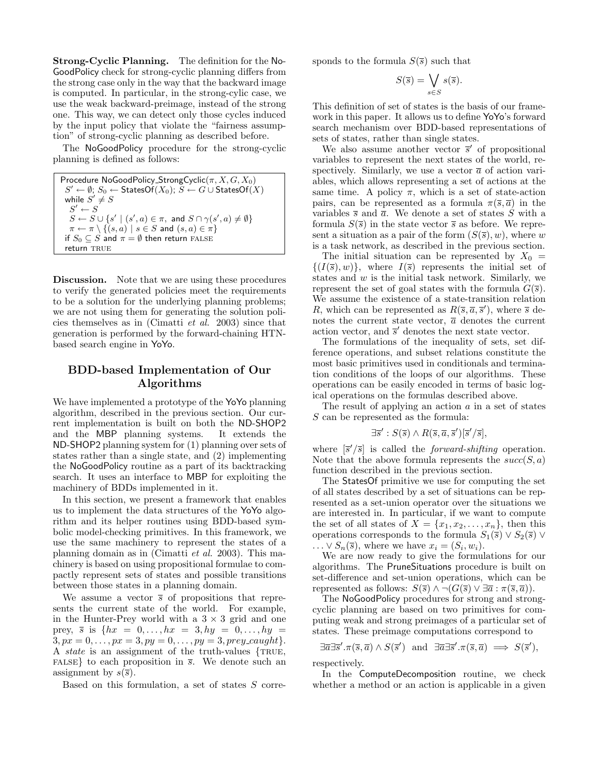Strong-Cyclic Planning. The definition for the No-GoodPolicy check for strong-cyclic planning differs from the strong case only in the way that the backward image is computed. In particular, in the strong-cylic case, we use the weak backward-preimage, instead of the strong one. This way, we can detect only those cycles induced by the input policy that violate the "fairness assumption" of strong-cyclic planning as described before.

The NoGoodPolicy procedure for the strong-cyclic planning is defined as follows:

```
Procedure NoGoodPolicy_StrongCyclic(\pi, X, G, X_0)
S' \leftarrow \emptyset; S_0 \leftarrow StatesOf(X_0); S \leftarrow G \cup StatesOf(X)
while S'\neq SS' \leftarrow SS \leftarrow S \cup \{s' \mid (s', a) \in \pi, \text{ and } S \cap \gamma(s', a) \neq \emptyset\}\pi \leftarrow \pi \setminus \{(s, a) \mid s \in S \text{ and } (s, a) \in \pi\}if S_0 \subseteq S and \pi = \emptyset then return FALSE
return TRUE
```
Discussion. Note that we are using these procedures to verify the generated policies meet the requirements to be a solution for the underlying planning problems; we are not using them for generating the solution policies themselves as in (Cimatti et al. 2003) since that generation is performed by the forward-chaining HTNbased search engine in YoYo.

# BDD-based Implementation of Our Algorithms

We have implemented a prototype of the YoYo planning algorithm, described in the previous section. Our current implementation is built on both the ND-SHOP2 and the MBP planning systems. It extends the ND-SHOP2 planning system for (1) planning over sets of states rather than a single state, and (2) implementing the NoGoodPolicy routine as a part of its backtracking search. It uses an interface to MBP for exploiting the machinery of BDDs implemented in it.

In this section, we present a framework that enables us to implement the data structures of the YoYo algorithm and its helper routines using BDD-based symbolic model-checking primitives. In this framework, we use the same machinery to represent the states of a planning domain as in (Cimatti et al. 2003). This machinery is based on using propositional formulae to compactly represent sets of states and possible transitions between those states in a planning domain.

We assume a vector  $\bar{s}$  of propositions that represents the current state of the world. For example, in the Hunter-Prey world with a  $3 \times 3$  grid and one prey,  $\bar{s}$  is  $\{hx = 0, ..., hx = 3, hy = 0, ..., hy = 1\}$  $3, px = 0, \ldots, px = 3, py = 0, \ldots, py = 3, prey\_caught$ . A *state* is an assignment of the truth-values  $\{TRUE,$ FALSE to each proposition in  $\bar{s}$ . We denote such an assignment by  $s(\overline{s})$ .

Based on this formulation, a set of states S corre-

sponds to the formula  $S(\bar{s})$  such that

$$
S(\overline{s}) = \bigvee_{s \in S} s(\overline{s}).
$$

This definition of set of states is the basis of our framework in this paper. It allows us to define YoYo's forward search mechanism over BDD-based representations of sets of states, rather than single states.

We also assume another vector  $\bar{s}'$  of propositional variables to represent the next states of the world, respectively. Similarly, we use a vector  $\bar{a}$  of action variables, which allows representing a set of actions at the same time. A policy  $\pi$ , which is a set of state-action pairs, can be represented as a formula  $\pi(\bar{s}, \bar{a})$  in the variables  $\bar{s}$  and  $\bar{a}$ . We denote a set of states S with a formula  $S(\bar{s})$  in the state vector  $\bar{s}$  as before. We represent a situation as a pair of the form  $(S(\overline{s}), w)$ , where w is a task network, as described in the previous section.

The initial situation can be represented by  $X_0 =$  $\{(I(\overline{s}), w)\}\$ , where  $I(\overline{s})$  represents the initial set of states and  $w$  is the initial task network. Similarly, we represent the set of goal states with the formula  $G(\overline{s})$ . We assume the existence of a state-transition relation R, which can be represented as  $R(\bar{s}, \bar{a}, \bar{s}')$ , where  $\bar{s}$  denotes the current state vector,  $\bar{a}$  denotes the current action vector, and  $\bar{s}$ <sup>'</sup> denotes the next state vector.

The formulations of the inequality of sets, set difference operations, and subset relations constitute the most basic primitives used in conditionals and termination conditions of the loops of our algorithms. These operations can be easily encoded in terms of basic logical operations on the formulas described above.

The result of applying an action  $\alpha$  in a set of states S can be represented as the formula:

$$
\exists \overline{s}' : S(\overline{s}) \wedge R(\overline{s}, \overline{a}, \overline{s}')[\overline{s}'/\overline{s}],
$$

where  $\left[\overline{s}'/\overline{s}\right]$  is called the *forward-shifting* operation. Note that the above formula represents the  $succ(S, a)$ function described in the previous section.

The StatesOf primitive we use for computing the set of all states described by a set of situations can be represented as a set-union operator over the situations we are interested in. In particular, if we want to compute the set of all states of  $X = \{x_1, x_2, \ldots, x_n\}$ , then this operations corresponds to the formula  $S_1(\overline{s}) \vee S_2(\overline{s}) \vee$  $\ldots \vee S_n(\overline{s})$ , where we have  $x_i = (S_i, w_i)$ .

We are now ready to give the formulations for our algorithms. The PruneSituations procedure is built on set-difference and set-union operations, which can be represented as follows:  $S(\overline{s}) \wedge \neg (G(\overline{s}) \vee \exists \overline{a} : \pi(\overline{s}, \overline{a})).$ 

The NoGoodPolicy procedures for strong and strongcyclic planning are based on two primitives for computing weak and strong preimages of a particular set of states. These preimage computations correspond to

$$
\exists \overline{a} \exists \overline{s}' \ldotp \pi(\overline{s}, \overline{a}) \land S(\overline{s}') \text{ and } \exists \overline{a} \exists \overline{s}' \ldotp \pi(\overline{s}, \overline{a}) \implies S(\overline{s}'),
$$

respectively.

In the ComputeDecomposition routine, we check whether a method or an action is applicable in a given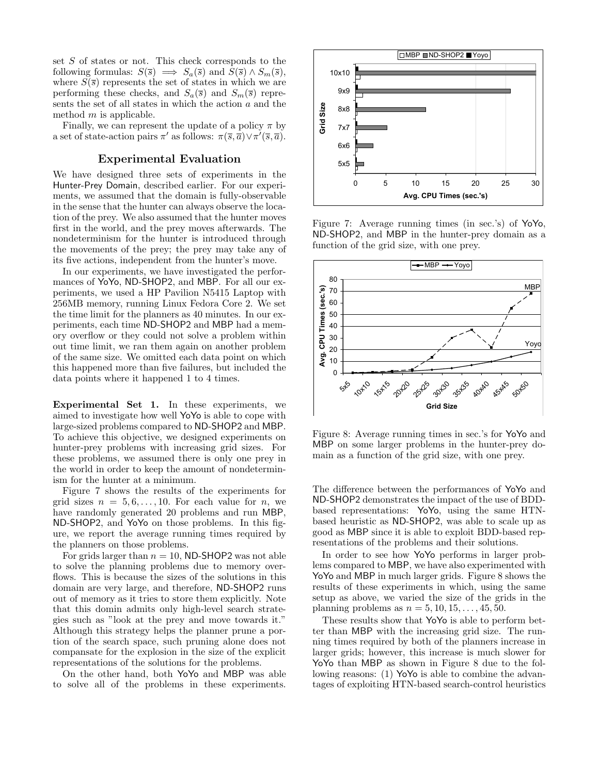set S of states or not. This check corresponds to the following formulas:  $S(\overline{s}) \implies S_a(\overline{s})$  and  $S(\overline{s}) \wedge S_m(\overline{s}),$ where  $S(\bar{s})$  represents the set of states in which we are performing these checks, and  $S_a(\overline{s})$  and  $S_m(\overline{s})$  represents the set of all states in which the action a and the method  $m$  is applicable.

Finally, we can represent the update of a policy  $\pi$  by a set of state-action pairs  $\pi'$  as follows:  $\pi(\overline{s}, \overline{a}) \vee \pi'(\overline{s}, \overline{a})$ .

#### Experimental Evaluation

We have designed three sets of experiments in the Hunter-Prey Domain, described earlier. For our experiments, we assumed that the domain is fully-observable in the sense that the hunter can always observe the location of the prey. We also assumed that the hunter moves first in the world, and the prey moves afterwards. The nondeterminism for the hunter is introduced through the movements of the prey; the prey may take any of its five actions, independent from the hunter's move.

In our experiments, we have investigated the performances of YoYo, ND-SHOP2, and MBP. For all our experiments, we used a HP Pavilion N5415 Laptop with 256MB memory, running Linux Fedora Core 2. We set the time limit for the planners as 40 minutes. In our experiments, each time ND-SHOP2 and MBP had a memory overflow or they could not solve a problem within out time limit, we ran them again on another problem of the same size. We omitted each data point on which this happened more than five failures, but included the data points where it happened 1 to 4 times.

Experimental Set 1. In these experiments, we aimed to investigate how well YoYo is able to cope with large-sized problems compared to ND-SHOP2 and MBP. To achieve this objective, we designed experiments on hunter-prey problems with increasing grid sizes. For these problems, we assumed there is only one prey in the world in order to keep the amount of nondeterminism for the hunter at a minimum.

Figure 7 shows the results of the experiments for grid sizes  $n = 5, 6, \ldots, 10$ . For each value for n, we have randomly generated 20 problems and run MBP, ND-SHOP2, and YoYo on those problems. In this figure, we report the average running times required by the planners on those problems.

For grids larger than  $n = 10$ , ND-SHOP2 was not able to solve the planning problems due to memory overflows. This is because the sizes of the solutions in this domain are very large, and therefore, ND-SHOP2 runs out of memory as it tries to store them explicitly. Note that this domin admits only high-level search strategies such as "look at the prey and move towards it." Although this strategy helps the planner prune a portion of the search space, such pruning alone does not compansate for the explosion in the size of the explicit representations of the solutions for the problems.

On the other hand, both YoYo and MBP was able to solve all of the problems in these experiments.



Figure 7: Average running times (in sec.'s) of YoYo, ND-SHOP2, and MBP in the hunter-prey domain as a function of the grid size, with one prey.



Figure 8: Average running times in sec.'s for YoYo and MBP on some larger problems in the hunter-prey domain as a function of the grid size, with one prey.

The difference between the performances of YoYo and ND-SHOP2 demonstrates the impact of the use of BDDbased representations: YoYo, using the same HTNbased heuristic as ND-SHOP2, was able to scale up as good as MBP since it is able to exploit BDD-based representations of the problems and their solutions.

In order to see how YoYo performs in larger problems compared to MBP, we have also experimented with YoYo and MBP in much larger grids. Figure 8 shows the results of these experiments in which, using the same setup as above, we varied the size of the grids in the planning problems as  $n = 5, 10, 15, ..., 45, 50$ .

These results show that YoYo is able to perform better than MBP with the increasing grid size. The running times required by both of the planners increase in larger grids; however, this increase is much slower for YoYo than MBP as shown in Figure 8 due to the following reasons: (1) YoYo is able to combine the advantages of exploiting HTN-based search-control heuristics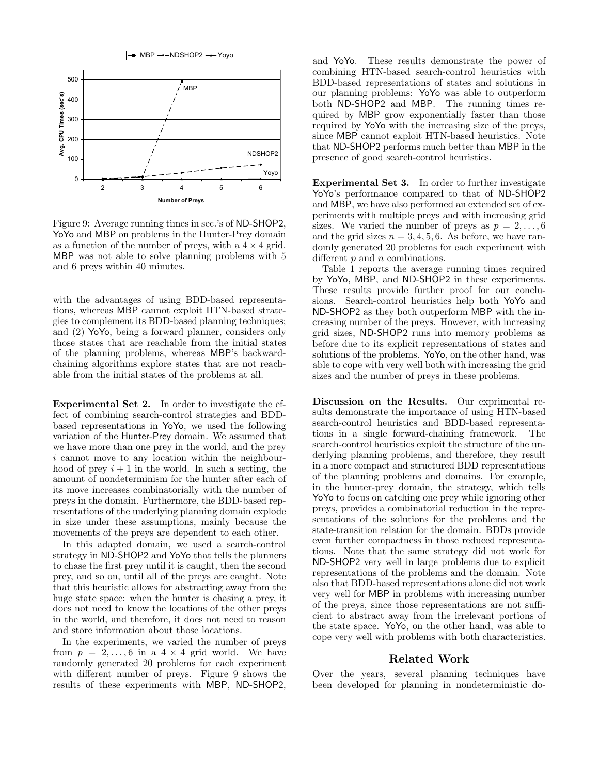

Figure 9: Average running times in sec.'s of ND-SHOP2, YoYo and MBP on problems in the Hunter-Prey domain as a function of the number of preys, with a  $4 \times 4$  grid. MBP was not able to solve planning problems with 5 and 6 preys within 40 minutes.

with the advantages of using BDD-based representations, whereas MBP cannot exploit HTN-based strategies to complement its BDD-based planning techniques; and (2) YoYo, being a forward planner, considers only those states that are reachable from the initial states of the planning problems, whereas MBP's backwardchaining algorithms explore states that are not reachable from the initial states of the problems at all.

Experimental Set 2. In order to investigate the effect of combining search-control strategies and BDDbased representations in YoYo, we used the following variation of the Hunter-Prey domain. We assumed that we have more than one prey in the world, and the prey i cannot move to any location within the neighbourhood of prey  $i + 1$  in the world. In such a setting, the amount of nondeterminism for the hunter after each of its move increases combinatorially with the number of preys in the domain. Furthermore, the BDD-based representations of the underlying planning domain explode in size under these assumptions, mainly because the movements of the preys are dependent to each other.

In this adapted domain, we used a search-control strategy in ND-SHOP2 and YoYo that tells the planners to chase the first prey until it is caught, then the second prey, and so on, until all of the preys are caught. Note that this heuristic allows for abstracting away from the huge state space: when the hunter is chasing a prey, it does not need to know the locations of the other preys in the world, and therefore, it does not need to reason and store information about those locations.

In the experiments, we varied the number of preys from  $p = 2, \ldots, 6$  in a  $4 \times 4$  grid world. We have randomly generated 20 problems for each experiment with different number of preys. Figure 9 shows the results of these experiments with MBP, ND-SHOP2,

and YoYo. These results demonstrate the power of combining HTN-based search-control heuristics with BDD-based representations of states and solutions in our planning problems: YoYo was able to outperform both ND-SHOP2 and MBP. The running times required by MBP grow exponentially faster than those required by YoYo with the increasing size of the preys, since MBP cannot exploit HTN-based heuristics. Note that ND-SHOP2 performs much better than MBP in the presence of good search-control heuristics.

Experimental Set 3. In order to further investigate YoYo's performance compared to that of ND-SHOP2 and MBP, we have also performed an extended set of experiments with multiple preys and with increasing grid sizes. We varied the number of preys as  $p = 2, \ldots, 6$ and the grid sizes  $n = 3, 4, 5, 6$ . As before, we have randomly generated 20 problems for each experiment with different  $p$  and  $n$  combinations.

Table 1 reports the average running times required by YoYo, MBP, and ND-SHOP2 in these experiments. These results provide further proof for our conclusions. Search-control heuristics help both YoYo and ND-SHOP2 as they both outperform MBP with the increasing number of the preys. However, with increasing grid sizes, ND-SHOP2 runs into memory problems as before due to its explicit representations of states and solutions of the problems. YoYo, on the other hand, was able to cope with very well both with increasing the grid sizes and the number of preys in these problems.

Discussion on the Results. Our exprimental results demonstrate the importance of using HTN-based search-control heuristics and BDD-based representations in a single forward-chaining framework. The search-control heuristics exploit the structure of the underlying planning problems, and therefore, they result in a more compact and structured BDD representations of the planning problems and domains. For example, in the hunter-prey domain, the strategy, which tells YoYo to focus on catching one prey while ignoring other preys, provides a combinatorial reduction in the representations of the solutions for the problems and the state-transition relation for the domain. BDDs provide even further compactness in those reduced representations. Note that the same strategy did not work for ND-SHOP2 very well in large problems due to explicit representations of the problems and the domain. Note also that BDD-based representations alone did not work very well for MBP in problems with increasing number of the preys, since those representations are not sufficient to abstract away from the irrelevant portions of the state space. YoYo, on the other hand, was able to cope very well with problems with both characteristics.

### Related Work

Over the years, several planning techniques have been developed for planning in nondeterministic do-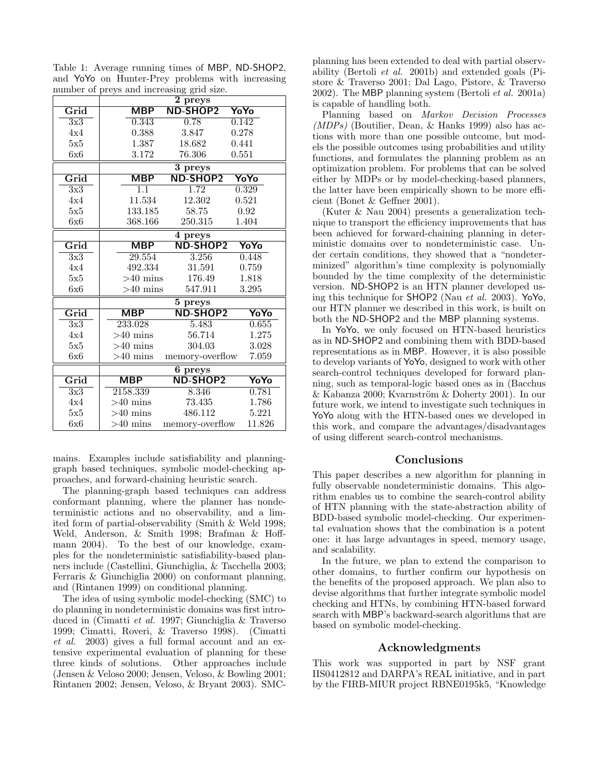Table 1: Average running times of MBP, ND-SHOP2, and YoYo on Hunter-Prey problems with increasing number of preys and increasing grid size.

|                  | 2 preys                   |                 |        |  |
|------------------|---------------------------|-----------------|--------|--|
| Grid             | <b>MBP</b>                | <b>ND-SHOP2</b> | YoYo   |  |
| 3x3              | 0.343                     | 0.78            | 0.142  |  |
| 4x4              | 0.388                     | 3.847           | 0.278  |  |
| 5x5              | 1.387                     | 18.682          | 0.441  |  |
| 6x6              | 3.172                     | 76.306          | 0.551  |  |
|                  | 3 preys                   |                 |        |  |
| Grid             | $\overline{\mathsf{MBP}}$ | <b>ND-SHOP2</b> | YoYo   |  |
| 3x3              | $\overline{1.1}$          | 1.72            | 0.329  |  |
| 4x4              | 11.534                    | 12.302          | 0.521  |  |
| 5x5              | 133.185                   | 58.75           | 0.92   |  |
| 6x6              | 368.166                   | 250.315         | 1.404  |  |
|                  | $\overline{4}$ preys      |                 |        |  |
| Grid             | <b>MBP</b>                | <b>ND-SHOP2</b> | YoYo   |  |
| $\overline{3x3}$ | 29.554                    | 3.256           | 0.448  |  |
| 4x4              | 492.334                   | 31.591          | 0.759  |  |
| 5x5              | $>40$ mins                | 176.49          | 1.818  |  |
| 6x6              | $>40$ mins                | 547.911         | 3.295  |  |
|                  | 5 preys                   |                 |        |  |
| Grid             | <b>MBP</b>                | <b>ND-SHOP2</b> | YoYo   |  |
| 3x3              | 233.028                   | 5.483           | 0.655  |  |
| 4x4              | $>40$ mins                | 56.714          | 1.275  |  |
| 5x5              | $>40$ mins                | 304.03          | 3.028  |  |
| 6x6              | $>40$ mins                | memory-overflow | 7.059  |  |
|                  | 6 preys                   |                 |        |  |
| Grid             | MBP                       | <b>ND-SHOP2</b> | YoYo   |  |
| 3x3              | 2158.339                  | 8.346           | 0.781  |  |
| 4x4              | $>40$ mins                | 73.435          | 1.786  |  |
| 5x5              | $>40$ mins                | 486.112         | 5.221  |  |
| 6x6              | $>40$ mins                | memory-overflow | 11.826 |  |

mains. Examples include satisfiability and planninggraph based techniques, symbolic model-checking approaches, and forward-chaining heuristic search.

The planning-graph based techniques can address conformant planning, where the planner has nondeterministic actions and no observability, and a limited form of partial-observability (Smith & Weld 1998; Weld, Anderson, & Smith 1998; Brafman & Hoffmann 2004). To the best of our knowledge, examples for the nondeterministic satisfiability-based planners include (Castellini, Giunchiglia, & Tacchella 2003; Ferraris & Giunchiglia 2000) on conformant planning, and (Rintanen 1999) on conditional planning.

The idea of using symbolic model-checking (SMC) to do planning in nondeterministic domains was first introduced in (Cimatti et al. 1997; Giunchiglia & Traverso 1999; Cimatti, Roveri, & Traverso 1998). (Cimatti et al. 2003) gives a full formal account and an extensive experimental evaluation of planning for these three kinds of solutions. Other approaches include (Jensen & Veloso 2000; Jensen, Veloso, & Bowling 2001; Rintanen 2002; Jensen, Veloso, & Bryant 2003). SMC-

planning has been extended to deal with partial observability (Bertoli et al. 2001b) and extended goals (Pistore & Traverso 2001; Dal Lago, Pistore, & Traverso 2002). The MBP planning system (Bertoli *et al.* 2001a) is capable of handling both.

Planning based on Markov Decision Processes  $(MDPs)$  (Boutilier, Dean, & Hanks 1999) also has actions with more than one possible outcome, but models the possible outcomes using probabilities and utility functions, and formulates the planning problem as an optimization problem. For problems that can be solved either by MDPs or by model-checking-based planners, the latter have been empirically shown to be more efficient (Bonet & Geffner 2001).

(Kuter & Nau 2004) presents a generalization technique to transport the efficiency improvements that has been achieved for forward-chaining planning in deterministic domains over to nondeterministic case. Under certain conditions, they showed that a "nondeterminized" algorithm's time complexity is polynomially bounded by the time complexity of the deterministic version. ND-SHOP2 is an HTN planner developed using this technique for SHOP2 (Nau et al. 2003). YoYo, our HTN planner we described in this work, is built on both the ND-SHOP2 and the MBP planning systems.

In YoYo, we only focused on HTN-based heuristics as in ND-SHOP2 and combining them with BDD-based representations as in MBP. However, it is also possible to develop variants of YoYo, designed to work with other search-control techniques developed for forward planning, such as temporal-logic based ones as in (Bacchus  $&$  Kabanza 2000; Kvarnström  $&$  Doherty 2001). In our future work, we intend to investigate such techniques in YoYo along with the HTN-based ones we developed in this work, and compare the advantages/disadvantages of using different search-control mechanisms.

# Conclusions

This paper describes a new algorithm for planning in fully observable nondeterministic domains. This algorithm enables us to combine the search-control ability of HTN planning with the state-abstraction ability of BDD-based symbolic model-checking. Our experimental evaluation shows that the combination is a potent one: it has large advantages in speed, memory usage, and scalability.

In the future, we plan to extend the comparison to other domains, to further confirm our hypothesis on the benefits of the proposed approach. We plan also to devise algorithms that further integrate symbolic model checking and HTNs, by combining HTN-based forward search with MBP's backward-search algorithms that are based on symbolic model-checking.

# Acknowledgments

This work was supported in part by NSF grant IIS0412812 and DARPA's REAL initiative, and in part by the FIRB-MIUR project RBNE0195k5, "Knowledge